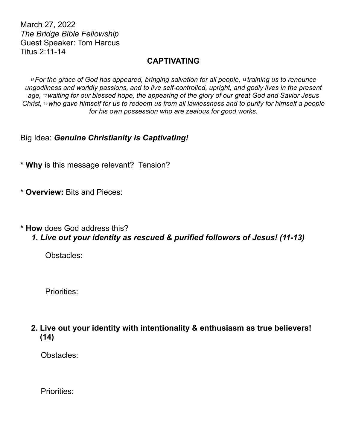March 27, 2022 *The Bridge Bible Fellowship* Guest Speaker: Tom Harcus Titus 2:11-14

## **CAPTIVATING**

*<sup>11</sup>For the grace of God has appeared, bringing salvation for all people, 12 training us to renounce ungodliness and worldly passions, and to live self-controlled, upright, and godly lives in the present age, 13 waiting for our blessed hope, the appearing of the glory of our great God and Savior Jesus Christ, 14 who gave himself for us to redeem us from all lawlessness and to purify for himself a people for his own possession who are zealous for good works.*

Big Idea: *Genuine Christianity is Captivating!*

**\* Why** is this message relevant? Tension?

**\* Overview:** Bits and Pieces:

**\* How** does God address this?

 *1. Live out your identity as rescued & purified followers of Jesus! (11-13)*

Obstacles:

Priorities:

**2. Live out your identity with intentionality & enthusiasm as true believers! (14)** 

Obstacles:

Priorities: